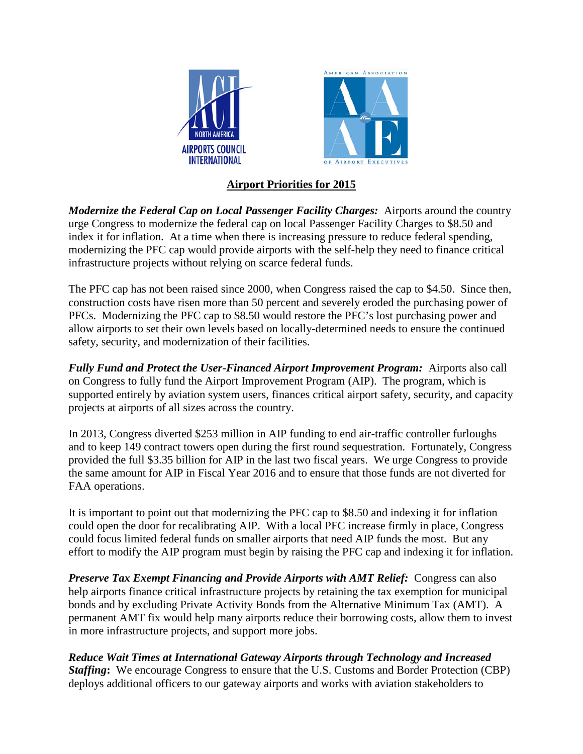

## **Airport Priorities for 2015**

*Modernize the Federal Cap on Local Passenger Facility Charges:* Airports around the country urge Congress to modernize the federal cap on local Passenger Facility Charges to \$8.50 and index it for inflation. At a time when there is increasing pressure to reduce federal spending, modernizing the PFC cap would provide airports with the self-help they need to finance critical infrastructure projects without relying on scarce federal funds.

The PFC cap has not been raised since 2000, when Congress raised the cap to \$4.50. Since then, construction costs have risen more than 50 percent and severely eroded the purchasing power of PFCs. Modernizing the PFC cap to \$8.50 would restore the PFC's lost purchasing power and allow airports to set their own levels based on locally-determined needs to ensure the continued safety, security, and modernization of their facilities.

*Fully Fund and Protect the User-Financed Airport Improvement Program:* Airports also call on Congress to fully fund the Airport Improvement Program (AIP). The program, which is supported entirely by aviation system users, finances critical airport safety, security, and capacity projects at airports of all sizes across the country.

In 2013, Congress diverted \$253 million in AIP funding to end air-traffic controller furloughs and to keep 149 contract towers open during the first round sequestration. Fortunately, Congress provided the full \$3.35 billion for AIP in the last two fiscal years. We urge Congress to provide the same amount for AIP in Fiscal Year 2016 and to ensure that those funds are not diverted for FAA operations.

It is important to point out that modernizing the PFC cap to \$8.50 and indexing it for inflation could open the door for recalibrating AIP. With a local PFC increase firmly in place, Congress could focus limited federal funds on smaller airports that need AIP funds the most. But any effort to modify the AIP program must begin by raising the PFC cap and indexing it for inflation.

*Preserve Tax Exempt Financing and Provide Airports with AMT Relief:*Congress can also help airports finance critical infrastructure projects by retaining the tax exemption for municipal bonds and by excluding Private Activity Bonds from the Alternative Minimum Tax (AMT). A permanent AMT fix would help many airports reduce their borrowing costs, allow them to invest in more infrastructure projects, and support more jobs.

*Reduce Wait Times at International Gateway Airports through Technology and Increased Staffing***:**We encourage Congress to ensure that the U.S. Customs and Border Protection (CBP) deploys additional officers to our gateway airports and works with aviation stakeholders to